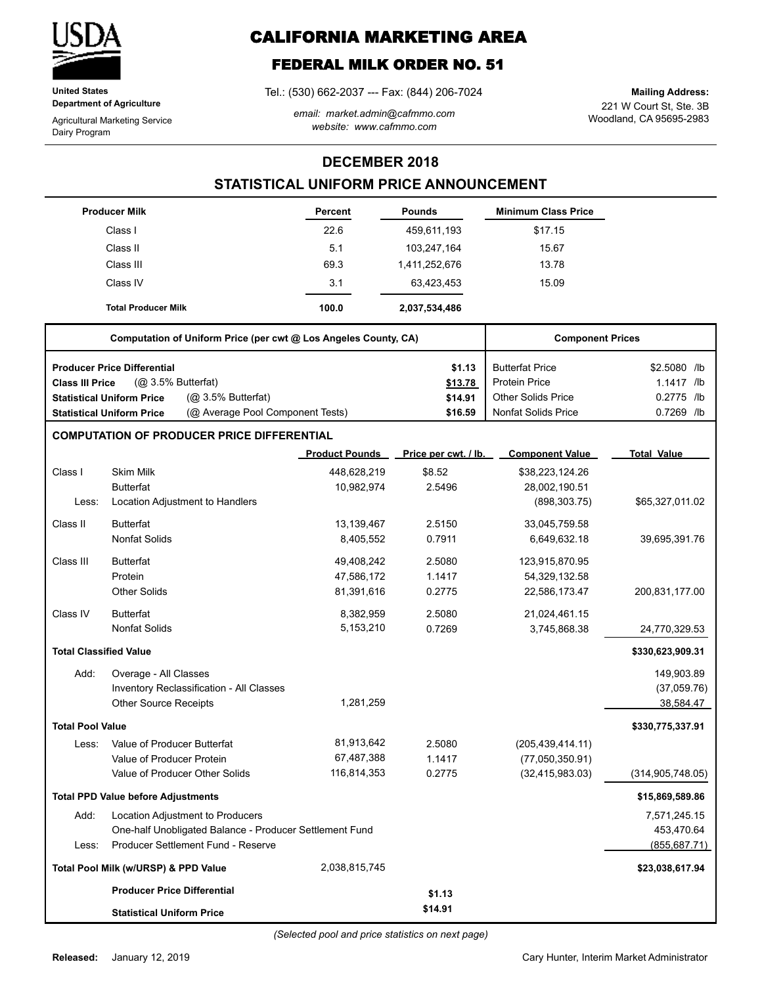

**United States Department of Agriculture**

Agricultural Marketing Service Dairy Program

# **CALIFORNIA MARKETING AREA**

## **FEDERAL MILK ORDER NO. 51**

Tel.: (530) 662-2037 --- Fax: (844) 206-7024

*email: market.admin@cafmmo.com website: www.cafmmo.com*

221 W Court St, Ste. 3B Woodland, CA 95695-2983 **Mailing Address:**

### **DECEMBER 2018**

### **STATISTICAL UNIFORM PRICE ANNOUNCEMENT**

|                               | <b>Producer Milk</b>                                                 | Percent               | <b>Pounds</b>        | <b>Minimum Class Price</b> |                    |
|-------------------------------|----------------------------------------------------------------------|-----------------------|----------------------|----------------------------|--------------------|
|                               | Class I                                                              | 22.6                  | 459,611,193          | \$17.15                    |                    |
|                               | Class II                                                             | 5.1                   | 103,247,164          | 15.67                      |                    |
|                               | Class III                                                            | 69.3                  | 1,411,252,676        | 13.78                      |                    |
|                               | Class IV                                                             | 3.1                   | 63,423,453           | 15.09                      |                    |
|                               | <b>Total Producer Milk</b>                                           | 100.0                 | 2,037,534,486        |                            |                    |
|                               | Computation of Uniform Price (per cwt @ Los Angeles County, CA)      |                       |                      | <b>Component Prices</b>    |                    |
|                               | <b>Producer Price Differential</b>                                   |                       | \$1.13               | <b>Butterfat Price</b>     | \$2.5080 /lb       |
| <b>Class III Price</b>        | $(Q0 3.5%$ Butterfat)                                                |                       | \$13.78              | <b>Protein Price</b>       | 1.1417 /lb         |
|                               | (@ 3.5% Butterfat)<br><b>Statistical Uniform Price</b>               |                       | \$14.91              | <b>Other Solids Price</b>  | 0.2775 /lb         |
|                               | (@ Average Pool Component Tests)<br><b>Statistical Uniform Price</b> |                       | \$16.59              | <b>Nonfat Solids Price</b> | 0.7269 /lb         |
|                               | <b>COMPUTATION OF PRODUCER PRICE DIFFERENTIAL</b>                    |                       |                      |                            |                    |
|                               |                                                                      | <b>Product Pounds</b> | Price per cwt. / lb. | <b>Component Value</b>     | <b>Total Value</b> |
| Class I                       | <b>Skim Milk</b>                                                     | 448,628,219           | \$8.52               | \$38,223,124.26            |                    |
|                               | <b>Butterfat</b>                                                     | 10,982,974            | 2.5496               | 28,002,190.51              |                    |
| Less:                         | Location Adjustment to Handlers                                      |                       |                      | (898, 303.75)              | \$65,327,011.02    |
| Class II                      | <b>Butterfat</b>                                                     | 13,139,467            | 2.5150               | 33,045,759.58              |                    |
|                               | <b>Nonfat Solids</b>                                                 | 8,405,552             | 0.7911               | 6,649,632.18               | 39,695,391.76      |
| Class III                     | <b>Butterfat</b>                                                     | 49,408,242            | 2.5080               | 123,915,870.95             |                    |
|                               | Protein                                                              | 47,586,172            | 1.1417               | 54,329,132.58              |                    |
|                               | <b>Other Solids</b>                                                  | 81,391,616            | 0.2775               | 22,586,173.47              | 200,831,177.00     |
| Class IV                      | <b>Butterfat</b>                                                     | 8,382,959             | 2.5080               | 21,024,461.15              |                    |
|                               | <b>Nonfat Solids</b>                                                 | 5,153,210             | 0.7269               | 3,745,868.38               | 24,770,329.53      |
| <b>Total Classified Value</b> |                                                                      |                       |                      |                            | \$330,623,909.31   |
| Add:                          | Overage - All Classes                                                |                       |                      |                            | 149,903.89         |
|                               | Inventory Reclassification - All Classes                             |                       |                      |                            | (37,059.76)        |
|                               | <b>Other Source Receipts</b>                                         | 1,281,259             |                      |                            | 38,584.47          |
| <b>Total Pool Value</b>       |                                                                      |                       |                      |                            | \$330,775,337.91   |
| Less:                         | Value of Producer Butterfat                                          | 81,913,642            | 2.5080               | (205, 439, 414.11)         |                    |
|                               | Value of Producer Protein                                            | 67,487,388            | 1.1417               | (77,050,350.91)            |                    |
|                               | Value of Producer Other Solids                                       | 116,814,353           | 0.2775               | (32, 415, 983.03)          | (314, 905, 748.05) |
|                               | <b>Total PPD Value before Adjustments</b>                            |                       |                      |                            | \$15,869,589.86    |
| Add:                          | Location Adjustment to Producers                                     |                       |                      |                            | 7,571,245.15       |
|                               | One-half Unobligated Balance - Producer Settlement Fund              |                       |                      |                            | 453,470.64         |
| Less:                         | Producer Settlement Fund - Reserve                                   |                       |                      |                            | (855, 687.71)      |
|                               | Total Pool Milk (w/URSP) & PPD Value                                 | 2,038,815,745         |                      |                            | \$23,038,617.94    |
|                               | <b>Producer Price Differential</b>                                   |                       | \$1.13               |                            |                    |
|                               | <b>Statistical Uniform Price</b>                                     |                       | \$14.91              |                            |                    |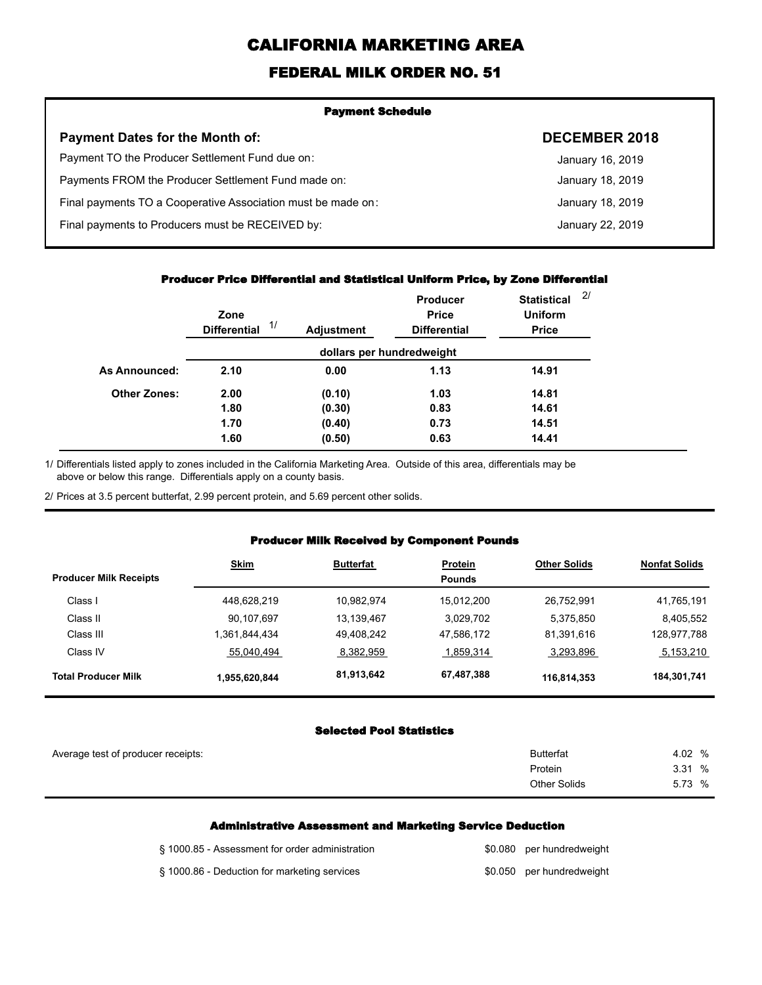# **CALIFORNIA MARKETING AREA**

## **FEDERAL MILK ORDER NO. 51**

| <b>Payment Schedule</b>                                      |                      |
|--------------------------------------------------------------|----------------------|
| <b>Payment Dates for the Month of:</b>                       | <b>DECEMBER 2018</b> |
| Payment TO the Producer Settlement Fund due on:              | January 16, 2019     |
| Payments FROM the Producer Settlement Fund made on:          | January 18, 2019     |
| Final payments TO a Cooperative Association must be made on: | January 18, 2019     |
| Final payments to Producers must be RECEIVED by:             | January 22, 2019     |
|                                                              |                      |

#### **Producer Price Differential and Statistical Uniform Price, by Zone Differential**

|                      | Zone<br>1/<br><b>Differential</b> | <b>Adjustment</b> | Producer<br><b>Price</b><br><b>Differential</b> | <b>Statistical</b><br><b>Uniform</b><br><b>Price</b> | 2/ |
|----------------------|-----------------------------------|-------------------|-------------------------------------------------|------------------------------------------------------|----|
|                      |                                   |                   | dollars per hundredweight                       |                                                      |    |
| <b>As Announced:</b> | 2.10                              | 0.00              | 1.13                                            | 14.91                                                |    |
| <b>Other Zones:</b>  | 2.00                              | (0.10)            | 1.03                                            | 14.81                                                |    |
|                      | 1.80                              | (0.30)            | 0.83                                            | 14.61                                                |    |
|                      | 1.70                              | (0.40)            | 0.73                                            | 14.51                                                |    |
|                      | 1.60                              | (0.50)            | 0.63                                            | 14.41                                                |    |

Differentials listed apply to zones included in the California Marketing Area. Outside of this area, differentials may be above or below this range. Differentials apply on a county basis. 1/

2/ Prices at 3.5 percent butterfat, 2.99 percent protein, and 5.69 percent other solids.

#### **Producer Milk Received by Component Pounds**

| <b>Producer Milk Receipts</b> | <b>Skim</b>   | <b>Butterfat</b> | <b>Protein</b><br><b>Pounds</b> | <b>Other Solids</b> | <b>Nonfat Solids</b> |
|-------------------------------|---------------|------------------|---------------------------------|---------------------|----------------------|
| Class I                       | 448,628,219   | 10.982.974       | 15.012.200                      | 26.752.991          | 41,765,191           |
| Class II                      | 90,107,697    | 13.139.467       | 3.029.702                       | 5,375,850           | 8.405.552            |
| Class III                     | .361,844,434  | 49.408.242       | 47,586,172                      | 81,391,616          | 128,977,788          |
| Class IV                      | 55,040,494    | 8,382,959        | 1,859,314                       | 3,293,896           | 5,153,210            |
| <b>Total Producer Milk</b>    | 1,955,620,844 | 81,913,642       | 67,487,388                      | 116,814,353         | 184,301,741          |

#### **Selected Pool Statistics**

| Average test of producer receipts: | <b>Butterfat</b>    | 4.02 % |
|------------------------------------|---------------------|--------|
|                                    | Protein             | 3.31%  |
|                                    | <b>Other Solids</b> | 5.73 % |
|                                    |                     |        |

#### **Administrative Assessment and Marketing Service Deduction**

| § 1000.85 - Assessment for order administration | \$0.080 per hundredweight |
|-------------------------------------------------|---------------------------|
| § 1000.86 - Deduction for marketing services    | \$0.050 per hundredweight |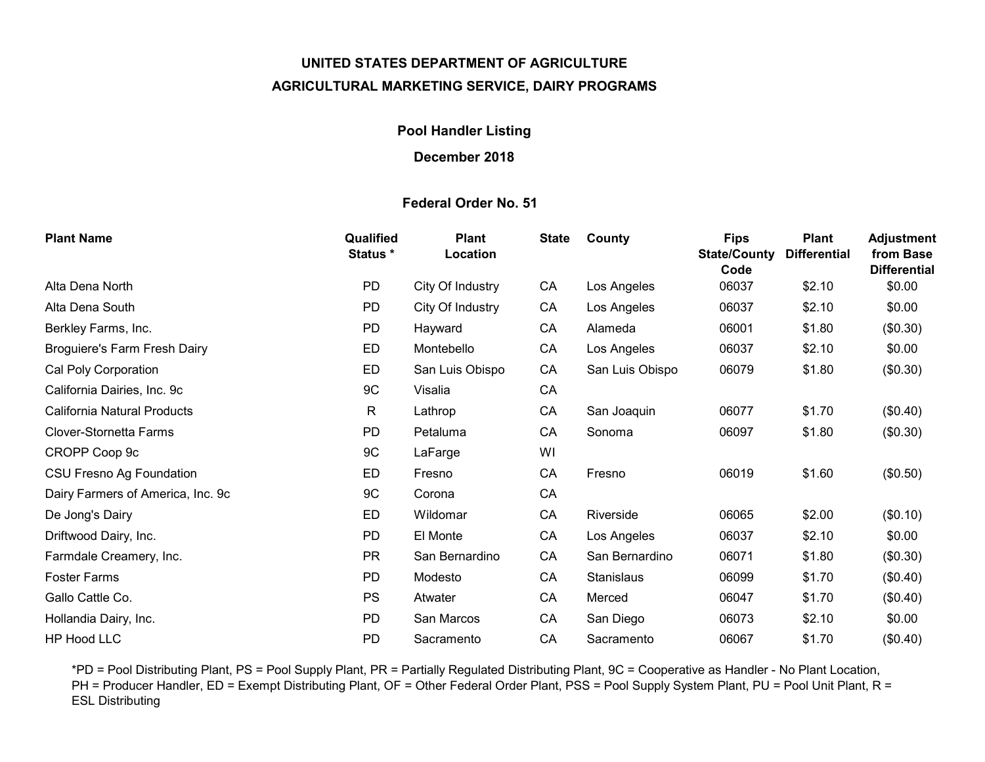# UNITED STATES DEPARTMENT OF AGRICULTURE AGRICULTURAL MARKETING SERVICE, DAIRY PROGRAMS

## Pool Handler Listing

### December 2018

## Federal Order No. 51

| <b>Plant Name</b>                   | Qualified<br><b>Status *</b> | <b>Plant</b><br>Location | <b>State</b> | County          | <b>Fips</b><br><b>State/County</b><br>Code | <b>Plant</b><br><b>Differential</b> | <b>Adjustment</b><br>from Base<br><b>Differential</b> |
|-------------------------------------|------------------------------|--------------------------|--------------|-----------------|--------------------------------------------|-------------------------------------|-------------------------------------------------------|
| Alta Dena North                     | <b>PD</b>                    | City Of Industry         | CA           | Los Angeles     | 06037                                      | \$2.10                              | \$0.00                                                |
| Alta Dena South                     | <b>PD</b>                    | City Of Industry         | CA           | Los Angeles     | 06037                                      | \$2.10                              | \$0.00                                                |
| Berkley Farms, Inc.                 | <b>PD</b>                    | Hayward                  | CA           | Alameda         | 06001                                      | \$1.80                              | (\$0.30)                                              |
| <b>Broguiere's Farm Fresh Dairy</b> | ED                           | Montebello               | CA           | Los Angeles     | 06037                                      | \$2.10                              | \$0.00                                                |
| Cal Poly Corporation                | ED                           | San Luis Obispo          | CA           | San Luis Obispo | 06079                                      | \$1.80                              | (\$0.30)                                              |
| California Dairies, Inc. 9c         | 9C                           | Visalia                  | CA           |                 |                                            |                                     |                                                       |
| California Natural Products         | $\mathsf{R}$                 | Lathrop                  | CA           | San Joaquin     | 06077                                      | \$1.70                              | (\$0.40)                                              |
| Clover-Stornetta Farms              | <b>PD</b>                    | Petaluma                 | CA           | Sonoma          | 06097                                      | \$1.80                              | (\$0.30)                                              |
| CROPP Coop 9c                       | 9C                           | LaFarge                  | WI           |                 |                                            |                                     |                                                       |
| <b>CSU Fresno Ag Foundation</b>     | ED                           | Fresno                   | CA           | Fresno          | 06019                                      | \$1.60                              | (\$0.50)                                              |
| Dairy Farmers of America, Inc. 9c   | 9C                           | Corona                   | CA           |                 |                                            |                                     |                                                       |
| De Jong's Dairy                     | ED                           | Wildomar                 | CA           | Riverside       | 06065                                      | \$2.00                              | (\$0.10)                                              |
| Driftwood Dairy, Inc.               | <b>PD</b>                    | El Monte                 | CA           | Los Angeles     | 06037                                      | \$2.10                              | \$0.00                                                |
| Farmdale Creamery, Inc.             | <b>PR</b>                    | San Bernardino           | CA           | San Bernardino  | 06071                                      | \$1.80                              | (\$0.30)                                              |
| <b>Foster Farms</b>                 | <b>PD</b>                    | Modesto                  | CA           | Stanislaus      | 06099                                      | \$1.70                              | (\$0.40)                                              |
| Gallo Cattle Co.                    | <b>PS</b>                    | Atwater                  | CA           | Merced          | 06047                                      | \$1.70                              | (\$0.40)                                              |
| Hollandia Dairy, Inc.               | <b>PD</b>                    | San Marcos               | CA           | San Diego       | 06073                                      | \$2.10                              | \$0.00                                                |
| <b>HP Hood LLC</b>                  | <b>PD</b>                    | Sacramento               | CA           | Sacramento      | 06067                                      | \$1.70                              | (\$0.40)                                              |

\*PD = Pool Distributing Plant, PS = Pool Supply Plant, PR = Partially Regulated Distributing Plant, 9C = Cooperative as Handler - No Plant Location, PH = Producer Handler, ED = Exempt Distributing Plant, OF = Other Federal Order Plant, PSS = Pool Supply System Plant, PU = Pool Unit Plant, R = ESL Distributing